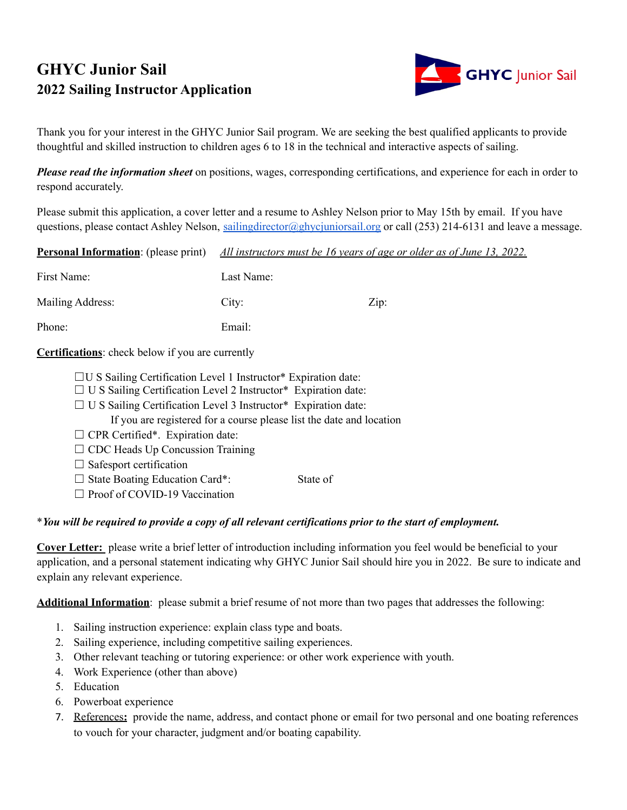# **GHYC Junior Sail 2022 Sailing Instructor Application**



Thank you for your interest in the GHYC Junior Sail program. We are seeking the best qualified applicants to provide thoughtful and skilled instruction to children ages 6 to 18 in the technical and interactive aspects of sailing.

*Please read the information sheet* on positions, wages, corresponding certifications, and experience for each in order to respond accurately.

Please submit this application, a cover letter and a resume to Ashley Nelson prior to May 15th by email. If you have questions, please contact Ashley Nelson, [sailingdirector@ghycjuniorsail.org](mailto:sailingdirector@ghycjuniorsail.org) or call (253) 214-6131 and leave a message.

| <b>Personal Information:</b> (please print)             | All instructors must be 16 years of age or older as of June 13, 2022. |      |
|---------------------------------------------------------|-----------------------------------------------------------------------|------|
| First Name:                                             | Last Name:                                                            |      |
| Mailing Address:                                        | City:                                                                 | Zip: |
| Phone:                                                  | Email:                                                                |      |
| <b>Certifications:</b> check below if you are currently |                                                                       |      |

- $\Box$ U S Sailing Certification Level 1 Instructor\* Expiration date:
- $\Box$  U S Sailing Certification Level 2 Instructor\* Expiration date:
- □ U S Sailing Certification Level 3 Instructor\* Expiration date:
	- If you are registered for a course please list the date and location
- $\Box$  CPR Certified\*. Expiration date:
- $\Box$  CDC Heads Up Concussion Training
- $\Box$  Safesport certification
- ☐ State Boating Education Card\*: State of
- □ Proof of COVID-19 Vaccination

# \* You will be required to provide a copy of all relevant certifications prior to the start of employment.

**Cover Letter:** please write a brief letter of introduction including information you feel would be beneficial to your application, and a personal statement indicating why GHYC Junior Sail should hire you in 2022. Be sure to indicate and explain any relevant experience.

**Additional Information**: please submit a brief resume of not more than two pages that addresses the following:

- 1. Sailing instruction experience: explain class type and boats.
- 2. Sailing experience, including competitive sailing experiences.
- 3. Other relevant teaching or tutoring experience: or other work experience with youth.
- 4. Work Experience (other than above)
- 5. Education
- 6. Powerboat experience
- 7. References**:** provide the name, address, and contact phone or email for two personal and one boating references to vouch for your character, judgment and/or boating capability.